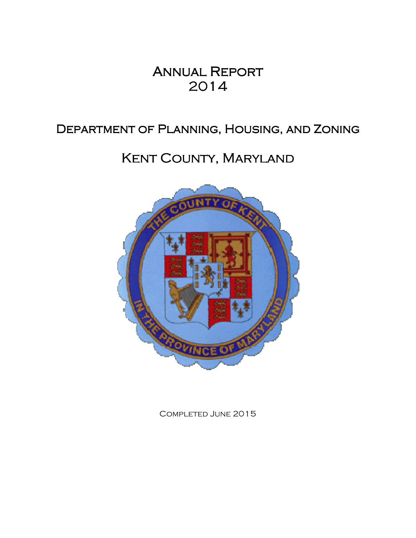# **ANNUAL REPORT** 2014

# DEPARTMENT OF PLANNING, HOUSING, AND ZONING

# KENT COUNTY, MARYLAND



Completed June 2015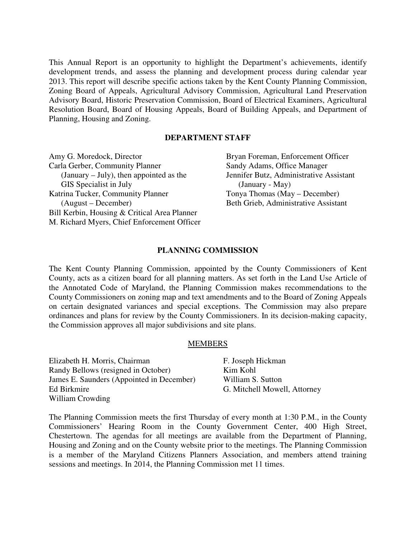This Annual Report is an opportunity to highlight the Department's achievements, identify development trends, and assess the planning and development process during calendar year 2013. This report will describe specific actions taken by the Kent County Planning Commission, Zoning Board of Appeals, Agricultural Advisory Commission, Agricultural Land Preservation Advisory Board, Historic Preservation Commission, Board of Electrical Examiners, Agricultural Resolution Board, Board of Housing Appeals, Board of Building Appeals, and Department of Planning, Housing and Zoning.

# **DEPARTMENT STAFF**

| Amy G. Moredock, Director                    | Bryan Foreman, Enforcement Officer      |
|----------------------------------------------|-----------------------------------------|
| Carla Gerber, Community Planner              | Sandy Adams, Office Manager             |
| (January $-$ July), then appointed as the    | Jennifer Butz, Administrative Assistant |
| GIS Specialist in July                       | $(January - May)$                       |
| Katrina Tucker, Community Planner            | Tonya Thomas (May – December)           |
| (August – December)                          | Beth Grieb, Administrative Assistant    |
| Bill Kerbin, Housing & Critical Area Planner |                                         |
| M. Richard Myers, Chief Enforcement Officer  |                                         |
|                                              |                                         |

#### **PLANNING COMMISSION**

The Kent County Planning Commission, appointed by the County Commissioners of Kent County, acts as a citizen board for all planning matters. As set forth in the Land Use Article of the Annotated Code of Maryland, the Planning Commission makes recommendations to the County Commissioners on zoning map and text amendments and to the Board of Zoning Appeals on certain designated variances and special exceptions. The Commission may also prepare ordinances and plans for review by the County Commissioners. In its decision-making capacity, the Commission approves all major subdivisions and site plans.

### **MEMBERS**

Elizabeth H. Morris, Chairman Randy Bellows (resigned in October) James E. Saunders (Appointed in December) Ed Birkmire William Crowding F. Joseph Hickman Kim Kohl William S. Sutton

G. Mitchell Mowell, Attorney

The Planning Commission meets the first Thursday of every month at 1:30 P.M., in the County Commissioners' Hearing Room in the County Government Center, 400 High Street, Chestertown. The agendas for all meetings are available from the Department of Planning, Housing and Zoning and on the County website prior to the meetings. The Planning Commission is a member of the Maryland Citizens Planners Association, and members attend training sessions and meetings. In 2014, the Planning Commission met 11 times.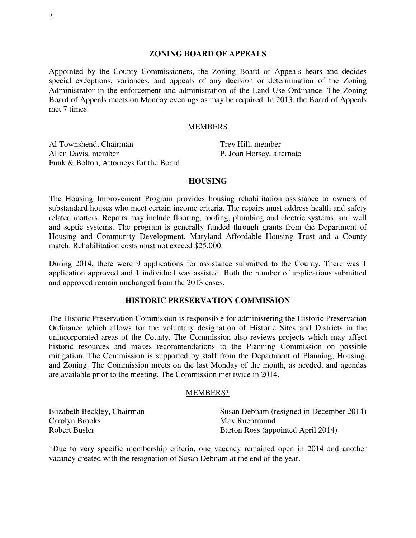#### **ZONING BOARD OF APPEALS**

Appointed by the County Commissioners, the Zoning Board of Appeals hears and decides special exceptions, variances, and appeals of any decision or determination of the Zoning Administrator in the enforcement and administration of the Land Use Ordinance. The Zoning Board of Appeals meets on Monday evenings as may be required. In 2013, the Board of Appeals met 7 times.

#### MEMBERS

Al Townshend, Chairman Allen Davis, member Funk & Bolton, Attorneys for the Board

Trey Hill, member P. Joan Horsey, alternate

#### **HOUSING**

The Housing Improvement Program provides housing rehabilitation assistance to owners of substandard houses who meet certain income criteria. The repairs must address health and safety related matters. Repairs may include flooring, roofing, plumbing and electric systems, and well and septic systems. The program is generally funded through grants from the Department of Housing and Community Development, Maryland Affordable Housing Trust and a County match. Rehabilitation costs must not exceed \$25,000.

During 2014, there were 9 applications for assistance submitted to the County. There was 1 application approved and 1 individual was assisted. Both the number of applications submitted and approved remain unchanged from the 2013 cases.

#### **HISTORIC PRESERVATION COMMISSION**

The Historic Preservation Commission is responsible for administering the Historic Preservation Ordinance which allows for the voluntary designation of Historic Sites and Districts in the unincorporated areas of the County. The Commission also reviews projects which may affect historic resources and makes recommendations to the Planning Commission on possible mitigation. The Commission is supported by staff from the Department of Planning, Housing, and Zoning. The Commission meets on the last Monday of the month, as needed, and agendas are available prior to the meeting. The Commission met twice in 2014.

#### MEMBERS\*

| Elizabeth Beckley, Chairman | Susan Debnam (resigned in December 2014) |
|-----------------------------|------------------------------------------|
| Carolyn Brooks              | Max Ruehrmund                            |
| Robert Busler               | Barton Ross (appointed April 2014)       |

\*Due to very specific membership criteria, one vacancy remained open in 2014 and another vacancy created with the resignation of Susan Debnam at the end of the year.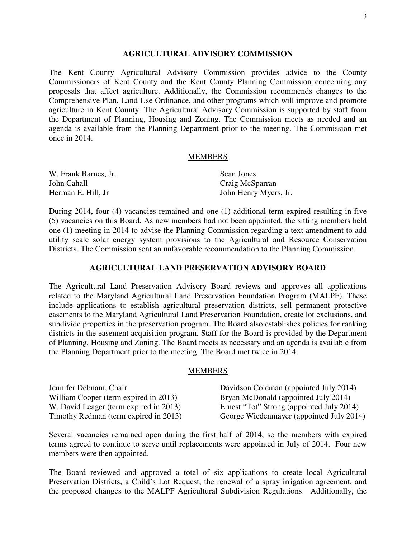#### **AGRICULTURAL ADVISORY COMMISSION**

The Kent County Agricultural Advisory Commission provides advice to the County Commissioners of Kent County and the Kent County Planning Commission concerning any proposals that affect agriculture. Additionally, the Commission recommends changes to the Comprehensive Plan, Land Use Ordinance, and other programs which will improve and promote agriculture in Kent County. The Agricultural Advisory Commission is supported by staff from the Department of Planning, Housing and Zoning. The Commission meets as needed and an agenda is available from the Planning Department prior to the meeting. The Commission met once in 2014.

#### **MEMBERS**

| W. Frank Barnes, Jr. | Sean Jones            |  |
|----------------------|-----------------------|--|
| John Cahall          | Craig McSparran       |  |
| Herman E. Hill, Jr   | John Henry Myers, Jr. |  |

During 2014, four (4) vacancies remained and one (1) additional term expired resulting in five (5) vacancies on this Board. As new members had not been appointed, the sitting members held one (1) meeting in 2014 to advise the Planning Commission regarding a text amendment to add utility scale solar energy system provisions to the Agricultural and Resource Conservation Districts. The Commission sent an unfavorable recommendation to the Planning Commission.

#### **AGRICULTURAL LAND PRESERVATION ADVISORY BOARD**

The Agricultural Land Preservation Advisory Board reviews and approves all applications related to the Maryland Agricultural Land Preservation Foundation Program (MALPF). These include applications to establish agricultural preservation districts, sell permanent protective easements to the Maryland Agricultural Land Preservation Foundation, create lot exclusions, and subdivide properties in the preservation program. The Board also establishes policies for ranking districts in the easement acquisition program. Staff for the Board is provided by the Department of Planning, Housing and Zoning. The Board meets as necessary and an agenda is available from the Planning Department prior to the meeting. The Board met twice in 2014.

#### MEMBERS

| Jennifer Debnam, Chair                 | Davidson Coleman (appointed July 2014)    |
|----------------------------------------|-------------------------------------------|
| William Cooper (term expired in 2013)  | Bryan McDonald (appointed July 2014)      |
| W. David Leager (term expired in 2013) | Ernest "Tot" Strong (appointed July 2014) |
| Timothy Redman (term expired in 2013)  | George Wiedenmayer (appointed July 2014)  |

Several vacancies remained open during the first half of 2014, so the members with expired terms agreed to continue to serve until replacements were appointed in July of 2014. Four new members were then appointed.

The Board reviewed and approved a total of six applications to create local Agricultural Preservation Districts, a Child's Lot Request, the renewal of a spray irrigation agreement, and the proposed changes to the MALPF Agricultural Subdivision Regulations. Additionally, the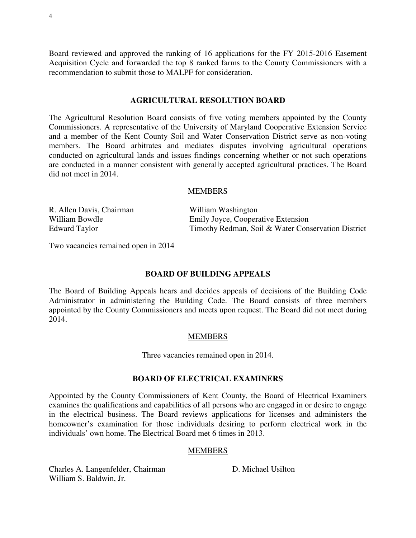Board reviewed and approved the ranking of 16 applications for the FY 2015-2016 Easement Acquisition Cycle and forwarded the top 8 ranked farms to the County Commissioners with a recommendation to submit those to MALPF for consideration.

#### **AGRICULTURAL RESOLUTION BOARD**

The Agricultural Resolution Board consists of five voting members appointed by the County Commissioners. A representative of the University of Maryland Cooperative Extension Service and a member of the Kent County Soil and Water Conservation District serve as non-voting members. The Board arbitrates and mediates disputes involving agricultural operations conducted on agricultural lands and issues findings concerning whether or not such operations are conducted in a manner consistent with generally accepted agricultural practices. The Board did not meet in 2014.

#### MEMBERS

| R. Allen Davis, Chairman | William Washington                                 |
|--------------------------|----------------------------------------------------|
| William Bowdle           | Emily Joyce, Cooperative Extension                 |
| Edward Taylor            | Timothy Redman, Soil & Water Conservation District |

Two vacancies remained open in 2014

### **BOARD OF BUILDING APPEALS**

The Board of Building Appeals hears and decides appeals of decisions of the Building Code Administrator in administering the Building Code. The Board consists of three members appointed by the County Commissioners and meets upon request. The Board did not meet during 2014.

#### MEMBERS

Three vacancies remained open in 2014.

#### **BOARD OF ELECTRICAL EXAMINERS**

Appointed by the County Commissioners of Kent County, the Board of Electrical Examiners examines the qualifications and capabilities of all persons who are engaged in or desire to engage in the electrical business. The Board reviews applications for licenses and administers the homeowner's examination for those individuals desiring to perform electrical work in the individuals' own home. The Electrical Board met 6 times in 2013.

#### MEMBERS

Charles A. Langenfelder, Chairman William S. Baldwin, Jr.

D. Michael Usilton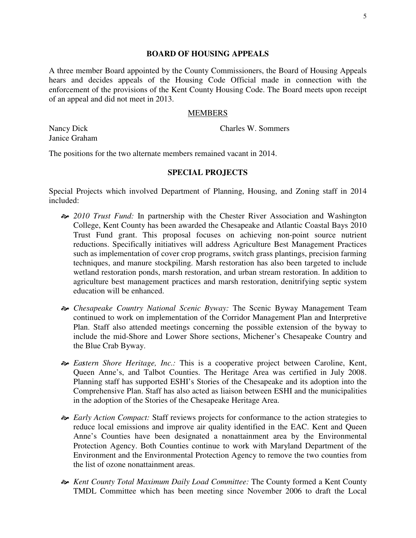#### **BOARD OF HOUSING APPEALS**

A three member Board appointed by the County Commissioners, the Board of Housing Appeals hears and decides appeals of the Housing Code Official made in connection with the enforcement of the provisions of the Kent County Housing Code. The Board meets upon receipt of an appeal and did not meet in 2013.

#### MEMBERS

Nancy Dick Janice Graham Charles W. Sommers

The positions for the two alternate members remained vacant in 2014.

#### **SPECIAL PROJECTS**

Special Projects which involved Department of Planning, Housing, and Zoning staff in 2014 included:

- *2010 Trust Fund:* In partnership with the Chester River Association and Washington College, Kent County has been awarded the Chesapeake and Atlantic Coastal Bays 2010 Trust Fund grant. This proposal focuses on achieving non-point source nutrient reductions. Specifically initiatives will address Agriculture Best Management Practices such as implementation of cover crop programs, switch grass plantings, precision farming techniques, and manure stockpiling. Marsh restoration has also been targeted to include wetland restoration ponds, marsh restoration, and urban stream restoration. In addition to agriculture best management practices and marsh restoration, denitrifying septic system education will be enhanced.
- *Chesapeake Country National Scenic Byway:* The Scenic Byway Management Team continued to work on implementation of the Corridor Management Plan and Interpretive Plan. Staff also attended meetings concerning the possible extension of the byway to include the mid-Shore and Lower Shore sections, Michener's Chesapeake Country and the Blue Crab Byway.
- *Eastern Shore Heritage, Inc.:* This is a cooperative project between Caroline, Kent, Queen Anne's, and Talbot Counties. The Heritage Area was certified in July 2008. Planning staff has supported ESHI's Stories of the Chesapeake and its adoption into the Comprehensive Plan. Staff has also acted as liaison between ESHI and the municipalities in the adoption of the Stories of the Chesapeake Heritage Area.
- *Early Action Compact:* Staff reviews projects for conformance to the action strategies to reduce local emissions and improve air quality identified in the EAC. Kent and Queen Anne's Counties have been designated a nonattainment area by the Environmental Protection Agency. Both Counties continue to work with Maryland Department of the Environment and the Environmental Protection Agency to remove the two counties from the list of ozone nonattainment areas.
- *Kent County Total Maximum Daily Load Committee:* The County formed a Kent County TMDL Committee which has been meeting since November 2006 to draft the Local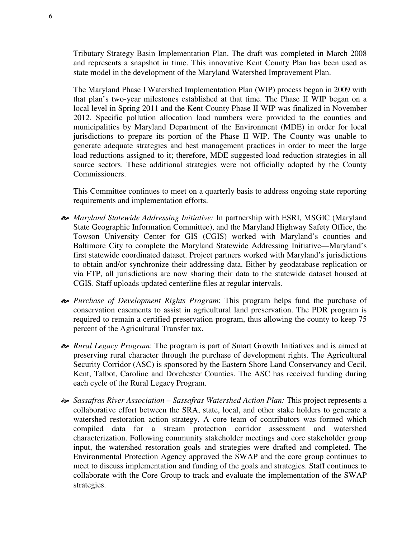Tributary Strategy Basin Implementation Plan. The draft was completed in March 2008 and represents a snapshot in time. This innovative Kent County Plan has been used as state model in the development of the Maryland Watershed Improvement Plan.

The Maryland Phase I Watershed Implementation Plan (WIP) process began in 2009 with that plan's two-year milestones established at that time. The Phase II WIP began on a local level in Spring 2011 and the Kent County Phase II WIP was finalized in November 2012. Specific pollution allocation load numbers were provided to the counties and municipalities by Maryland Department of the Environment (MDE) in order for local jurisdictions to prepare its portion of the Phase II WIP. The County was unable to generate adequate strategies and best management practices in order to meet the large load reductions assigned to it; therefore, MDE suggested load reduction strategies in all source sectors. These additional strategies were not officially adopted by the County Commissioners.

This Committee continues to meet on a quarterly basis to address ongoing state reporting requirements and implementation efforts.

- *Maryland Statewide Addressing Initiative:* In partnership with ESRI, MSGIC (Maryland State Geographic Information Committee), and the Maryland Highway Safety Office, the Towson University Center for GIS (CGIS) worked with Maryland's counties and Baltimore City to complete the Maryland Statewide Addressing Initiative—Maryland's first statewide coordinated dataset. Project partners worked with Maryland's jurisdictions to obtain and/or synchronize their addressing data. Either by geodatabase replication or via FTP, all jurisdictions are now sharing their data to the statewide dataset housed at CGIS. Staff uploads updated centerline files at regular intervals.
- *Purchase of Development Rights Program*: This program helps fund the purchase of conservation easements to assist in agricultural land preservation. The PDR program is required to remain a certified preservation program, thus allowing the county to keep 75 percent of the Agricultural Transfer tax.
- *Rural Legacy Program*: The program is part of Smart Growth Initiatives and is aimed at preserving rural character through the purchase of development rights. The Agricultural Security Corridor (ASC) is sponsored by the Eastern Shore Land Conservancy and Cecil, Kent, Talbot, Caroline and Dorchester Counties. The ASC has received funding during each cycle of the Rural Legacy Program.
- *Sassafras River Association Sassafras Watershed Action Plan:* This project represents a collaborative effort between the SRA, state, local, and other stake holders to generate a watershed restoration action strategy. A core team of contributors was formed which compiled data for a stream protection corridor assessment and watershed characterization. Following community stakeholder meetings and core stakeholder group input, the watershed restoration goals and strategies were drafted and completed. The Environmental Protection Agency approved the SWAP and the core group continues to meet to discuss implementation and funding of the goals and strategies. Staff continues to collaborate with the Core Group to track and evaluate the implementation of the SWAP strategies.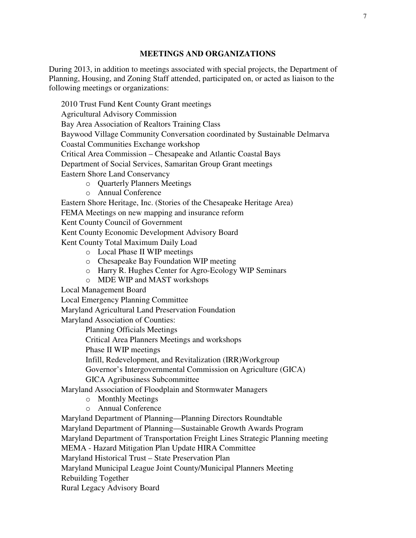# **MEETINGS AND ORGANIZATIONS**

During 2013, in addition to meetings associated with special projects, the Department of Planning, Housing, and Zoning Staff attended, participated on, or acted as liaison to the following meetings or organizations:

2010 Trust Fund Kent County Grant meetings Agricultural Advisory Commission Bay Area Association of Realtors Training Class Baywood Village Community Conversation coordinated by Sustainable Delmarva Coastal Communities Exchange workshop Critical Area Commission – Chesapeake and Atlantic Coastal Bays Department of Social Services, Samaritan Group Grant meetings Eastern Shore Land Conservancy

- o Quarterly Planners Meetings
- o Annual Conference

Eastern Shore Heritage, Inc. (Stories of the Chesapeake Heritage Area)

FEMA Meetings on new mapping and insurance reform

Kent County Council of Government

Kent County Economic Development Advisory Board

Kent County Total Maximum Daily Load

- o Local Phase II WIP meetings
- o Chesapeake Bay Foundation WIP meeting
- o Harry R. Hughes Center for Agro-Ecology WIP Seminars
- o MDE WIP and MAST workshops

Local Management Board

Local Emergency Planning Committee

Maryland Agricultural Land Preservation Foundation

Maryland Association of Counties:

Planning Officials Meetings

Critical Area Planners Meetings and workshops

Phase II WIP meetings

Infill, Redevelopment, and Revitalization (IRR)Workgroup

Governor's Intergovernmental Commission on Agriculture (GICA)

GICA Agribusiness Subcommittee

Maryland Association of Floodplain and Stormwater Managers

- o Monthly Meetings
- o Annual Conference

Maryland Department of Planning—Planning Directors Roundtable

Maryland Department of Planning—Sustainable Growth Awards Program

Maryland Department of Transportation Freight Lines Strategic Planning meeting

MEMA - Hazard Mitigation Plan Update HIRA Committee

Maryland Historical Trust – State Preservation Plan

Maryland Municipal League Joint County/Municipal Planners Meeting

Rebuilding Together

Rural Legacy Advisory Board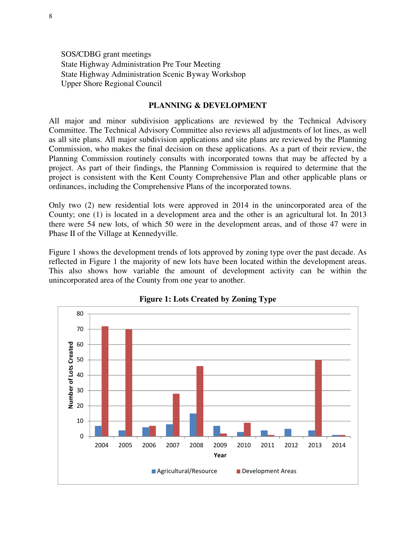SOS/CDBG grant meetings State Highway Administration Pre Tour Meeting State Highway Administration Scenic Byway Workshop Upper Shore Regional Council

### **PLANNING & DEVELOPMENT**

All major and minor subdivision applications are reviewed by the Technical Advisory Committee. The Technical Advisory Committee also reviews all adjustments of lot lines, as well as all site plans. All major subdivision applications and site plans are reviewed by the Planning Commission, who makes the final decision on these applications. As a part of their review, the Planning Commission routinely consults with incorporated towns that may be affected by a project. As part of their findings, the Planning Commission is required to determine that the project is consistent with the Kent County Comprehensive Plan and other applicable plans or ordinances, including the Comprehensive Plans of the incorporated towns.

Only two (2) new residential lots were approved in 2014 in the unincorporated area of the County; one (1) is located in a development area and the other is an agricultural lot. In 2013 there were 54 new lots, of which 50 were in the development areas, and of those 47 were in Phase II of the Village at Kennedyville.

Figure 1 shows the development trends of lots approved by zoning type over the past decade. As reflected in Figure 1 the majority of new lots have been located within the development areas. This also shows how variable the amount of development activity can be within the unincorporated area of the County from one year to another.



**Figure 1: Lots Created by Zoning Type**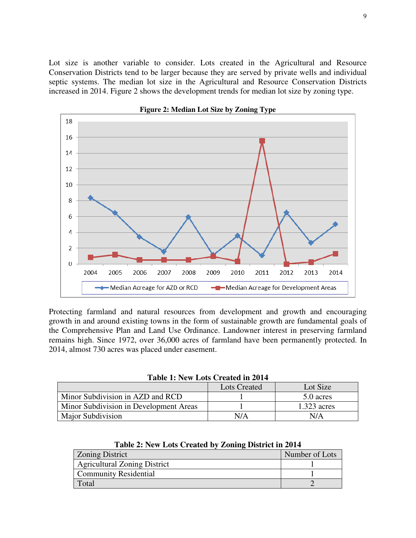Lot size is another variable to consider. Lots created in the Agricultural and Resource Conservation Districts tend to be larger because they are served by private wells and individual septic systems. The median lot size in the Agricultural and Resource Conservation Districts increased in 2014. Figure 2 shows the development trends for median lot size by zoning type.



**Figure 2: Median Lot Size by Zoning Type** 

Protecting farmland and natural resources from development and growth and encouraging growth in and around existing towns in the form of sustainable growth are fundamental goals of the Comprehensive Plan and Land Use Ordinance. Landowner interest in preserving farmland remains high. Since 1972, over 36,000 acres of farmland have been permanently protected. In 2014, almost 730 acres was placed under easement.

**Table 1: New Lots Created in 2014** 

|                                        | <b>Lots Created</b> | Lot Size      |
|----------------------------------------|---------------------|---------------|
| Minor Subdivision in AZD and RCD       |                     | 5.0 acres     |
| Minor Subdivision in Development Areas |                     | $1.323$ acres |
| <b>Major Subdivision</b>               | N/A                 | N/A           |

| or Subdivision | N/A | N/A |
|----------------|-----|-----|
|                |     |     |
|                |     |     |

**Table 2: New Lots Created by Zoning District in 2014** 

| <b>Zoning District</b>              | Number of Lots |
|-------------------------------------|----------------|
| <b>Agricultural Zoning District</b> |                |
| <b>Community Residential</b>        |                |
| Total                               |                |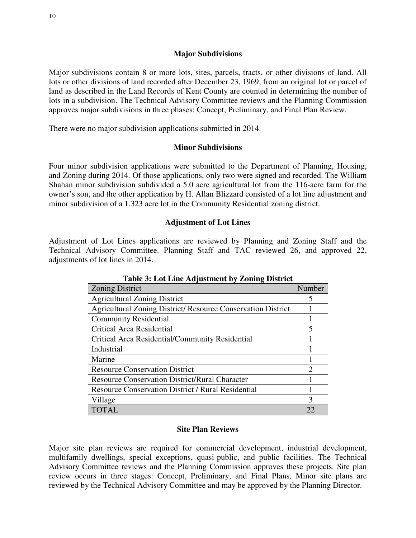## **Major Subdivisions**

Major subdivisions contain 8 or more lots, sites, parcels, tracts, or other divisions of land. All lots or other divisions of land recorded after December 23, 1969, from an original lot or parcel of land as described in the Land Records of Kent County are counted in determining the number of lots in a subdivision. The Technical Advisory Committee reviews and the Planning Commission approves major subdivisions in three phases: Concept, Preliminary, and Final Plan Review.

There were no major subdivision applications submitted in 2014.

## **Minor Subdivisions**

Four minor subdivision applications were submitted to the Department of Planning, Housing, and Zoning during 2014. Of those applications, only two were signed and recorded. The William Shahan minor subdivision subdivided a 5.0 acre agricultural lot from the 116-acre farm for the owner's son, and the other application by H. Allan Blizzard consisted of a lot line adjustment and minor subdivision of a 1.323 acre lot in the Community Residential zoning district.

## **Adjustment of Lot Lines**

Adjustment of Lot Lines applications are reviewed by Planning and Zoning Staff and the Technical Advisory Committee. Planning Staff and TAC reviewed 26, and approved 22, adjustments of lot lines in 2014.

| Tuble of Dov Blue Hajubuliers by Bolling Dibuted                    |                       |  |
|---------------------------------------------------------------------|-----------------------|--|
| <b>Zoning District</b>                                              | Number                |  |
| <b>Agricultural Zoning District</b>                                 | 5                     |  |
| <b>Agricultural Zoning District/ Resource Conservation District</b> |                       |  |
| <b>Community Residential</b>                                        |                       |  |
| Critical Area Residential                                           |                       |  |
| Critical Area Residential/Community Residential                     |                       |  |
| Industrial                                                          |                       |  |
| Marine                                                              |                       |  |
| <b>Resource Conservation District</b>                               | $\mathcal{D}_{\cdot}$ |  |
| <b>Resource Conservation District/Rural Character</b>               |                       |  |
| <b>Resource Conservation District / Rural Residential</b>           |                       |  |
| Village                                                             | 3                     |  |
| <b>TOTAL</b>                                                        | 22                    |  |

**Table 3: Lot Line Adjustment by Zoning District** 

#### **Site Plan Reviews**

Major site plan reviews are required for commercial development, industrial development, multifamily dwellings, special exceptions, quasi-public, and public facilities. The Technical Advisory Committee reviews and the Planning Commission approves these projects. Site plan review occurs in three stages: Concept, Preliminary, and Final Plans. Minor site plans are reviewed by the Technical Advisory Committee and may be approved by the Planning Director.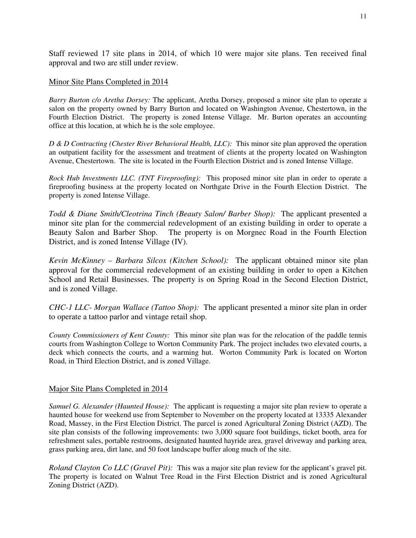Staff reviewed 17 site plans in 2014, of which 10 were major site plans. Ten received final approval and two are still under review.

# Minor Site Plans Completed in 2014

*Barry Burton c/o Aretha Dorsey:* The applicant, Aretha Dorsey, proposed a minor site plan to operate a salon on the property owned by Barry Burton and located on Washington Avenue, Chestertown, in the Fourth Election District. The property is zoned Intense Village. Mr. Burton operates an accounting office at this location, at which he is the sole employee.

*D & D Contracting (Chester River Behavioral Health, LLC):* This minor site plan approved the operation an outpatient facility for the assessment and treatment of clients at the property located on Washington Avenue, Chestertown. The site is located in the Fourth Election District and is zoned Intense Village.

*Rock Hub Investments LLC. (TNT Fireproofing):*This proposed minor site plan in order to operate a fireproofing business at the property located on Northgate Drive in the Fourth Election District. The property is zoned Intense Village.

*Todd & Diane Smith/Cleotrina Tinch (Beauty Salon/ Barber Shop):* The applicant presented a minor site plan for the commercial redevelopment of an existing building in order to operate a Beauty Salon and Barber Shop. The property is on Morgnec Road in the Fourth Election District, and is zoned Intense Village (IV).

*Kevin McKinney – Barbara Silcox (Kitchen School):* The applicant obtained minor site plan approval for the commercial redevelopment of an existing building in order to open a Kitchen School and Retail Businesses. The property is on Spring Road in the Second Election District, and is zoned Village.

*CHC-1 LLC- Morgan Wallace (Tattoo Shop):* The applicant presented a minor site plan in order to operate a tattoo parlor and vintage retail shop.

*County Commissioners of Kent County:* This minor site plan was for the relocation of the paddle tennis courts from Washington College to Worton Community Park. The project includes two elevated courts, a deck which connects the courts, and a warming hut. Worton Community Park is located on Worton Road, in Third Election District, and is zoned Village.

# Major Site Plans Completed in 2014

*Samuel G. Alexander (Haunted House):* The applicant is requesting a major site plan review to operate a haunted house for weekend use from September to November on the property located at 13335 Alexander Road, Massey, in the First Election District. The parcel is zoned Agricultural Zoning District (AZD). The site plan consists of the following improvements: two 3,000 square foot buildings, ticket booth, area for refreshment sales, portable restrooms, designated haunted hayride area, gravel driveway and parking area, grass parking area, dirt lane, and 50 foot landscape buffer along much of the site.

*Roland Clayton Co LLC (Gravel Pit):* This was a major site plan review for the applicant's gravel pit. The property is located on Walnut Tree Road in the First Election District and is zoned Agricultural Zoning District (AZD).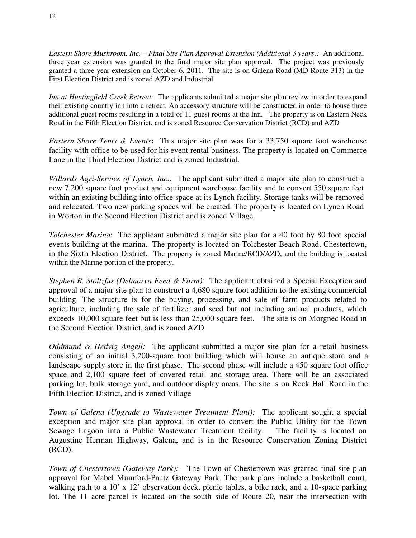*Eastern Shore Mushroom, Inc. – Final Site Plan Approval Extension (Additional 3 years):* An additional three year extension was granted to the final major site plan approval. The project was previously granted a three year extension on October 6, 2011. The site is on Galena Road (MD Route 313) in the First Election District and is zoned AZD and Industrial.

*Inn at Huntingfield Creek Retreat*: The applicants submitted a major site plan review in order to expand their existing country inn into a retreat. An accessory structure will be constructed in order to house three additional guest rooms resulting in a total of 11 guest rooms at the Inn. The property is on Eastern Neck Road in the Fifth Election District, and is zoned Resource Conservation District (RCD) and AZD

*Eastern Shore Tents & Events***:** This major site plan was for a 33,750 square foot warehouse facility with office to be used for his event rental business. The property is located on Commerce Lane in the Third Election District and is zoned Industrial.

*Willards Agri-Service of Lynch, Inc.:* The applicant submitted a major site plan to construct a new 7,200 square foot product and equipment warehouse facility and to convert 550 square feet within an existing building into office space at its Lynch facility. Storage tanks will be removed and relocated. Two new parking spaces will be created. The property is located on Lynch Road in Worton in the Second Election District and is zoned Village.

*Tolchester Marina*: The applicant submitted a major site plan for a 40 foot by 80 foot special events building at the marina. The property is located on Tolchester Beach Road, Chestertown, in the Sixth Election District. The property is zoned Marine/RCD/AZD, and the building is located within the Marine portion of the property.

*Stephen R. Stoltzfus (Delmarva Feed & Farm)*: The applicant obtained a Special Exception and approval of a major site plan to construct a 4,680 square foot addition to the existing commercial building. The structure is for the buying, processing, and sale of farm products related to agriculture, including the sale of fertilizer and seed but not including animal products, which exceeds 10,000 square feet but is less than 25,000 square feet. The site is on Morgnec Road in the Second Election District, and is zoned AZD

*Oddmund & Hedvig Angell:* The applicant submitted a major site plan for a retail business consisting of an initial 3,200-square foot building which will house an antique store and a landscape supply store in the first phase. The second phase will include a 450 square foot office space and 2,100 square feet of covered retail and storage area. There will be an associated parking lot, bulk storage yard, and outdoor display areas. The site is on Rock Hall Road in the Fifth Election District, and is zoned Village

*Town of Galena (Upgrade to Wastewater Treatment Plant):* The applicant sought a special exception and major site plan approval in order to convert the Public Utility for the Town Sewage Lagoon into a Public Wastewater Treatment facility. The facility is located on Augustine Herman Highway, Galena, and is in the Resource Conservation Zoning District (RCD).

*Town of Chestertown (Gateway Park):* The Town of Chestertown was granted final site plan approval for Mabel Mumford-Pautz Gateway Park. The park plans include a basketball court, walking path to a 10' x 12' observation deck, picnic tables, a bike rack, and a 10-space parking lot. The 11 acre parcel is located on the south side of Route 20, near the intersection with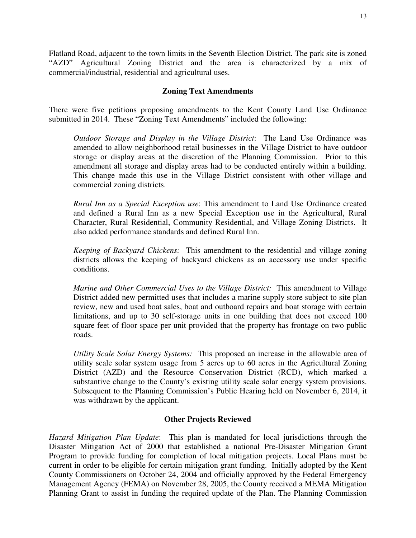Flatland Road, adjacent to the town limits in the Seventh Election District. The park site is zoned "AZD" Agricultural Zoning District and the area is characterized by a mix of commercial/industrial, residential and agricultural uses.

# **Zoning Text Amendments**

There were five petitions proposing amendments to the Kent County Land Use Ordinance submitted in 2014. These "Zoning Text Amendments" included the following:

*Outdoor Storage and Display in the Village District*: The Land Use Ordinance was amended to allow neighborhood retail businesses in the Village District to have outdoor storage or display areas at the discretion of the Planning Commission. Prior to this amendment all storage and display areas had to be conducted entirely within a building. This change made this use in the Village District consistent with other village and commercial zoning districts.

*Rural Inn as a Special Exception use*: This amendment to Land Use Ordinance created and defined a Rural Inn as a new Special Exception use in the Agricultural, Rural Character, Rural Residential, Community Residential, and Village Zoning Districts. It also added performance standards and defined Rural Inn.

*Keeping of Backyard Chickens:* This amendment to the residential and village zoning districts allows the keeping of backyard chickens as an accessory use under specific conditions.

*Marine and Other Commercial Uses to the Village District:* This amendment to Village District added new permitted uses that includes a marine supply store subject to site plan review, new and used boat sales, boat and outboard repairs and boat storage with certain limitations, and up to 30 self-storage units in one building that does not exceed 100 square feet of floor space per unit provided that the property has frontage on two public roads.

*Utility Scale Solar Energy Systems:* This proposed an increase in the allowable area of utility scale solar system usage from 5 acres up to 60 acres in the Agricultural Zoning District (AZD) and the Resource Conservation District (RCD), which marked a substantive change to the County's existing utility scale solar energy system provisions. Subsequent to the Planning Commission's Public Hearing held on November 6, 2014, it was withdrawn by the applicant.

#### **Other Projects Reviewed**

*Hazard Mitigation Plan Update*: This plan is mandated for local jurisdictions through the Disaster Mitigation Act of 2000 that established a national Pre-Disaster Mitigation Grant Program to provide funding for completion of local mitigation projects. Local Plans must be current in order to be eligible for certain mitigation grant funding. Initially adopted by the Kent County Commissioners on October 24, 2004 and officially approved by the Federal Emergency Management Agency (FEMA) on November 28, 2005, the County received a MEMA Mitigation Planning Grant to assist in funding the required update of the Plan. The Planning Commission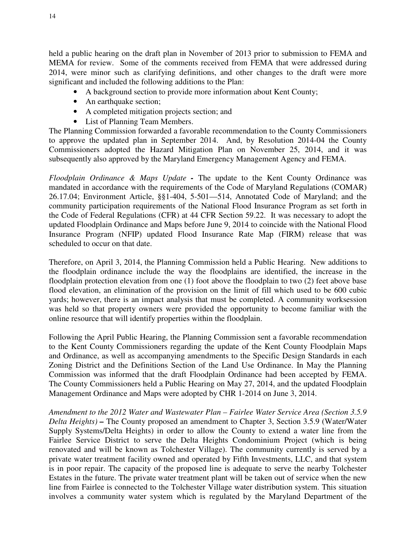held a public hearing on the draft plan in November of 2013 prior to submission to FEMA and MEMA for review. Some of the comments received from FEMA that were addressed during 2014, were minor such as clarifying definitions, and other changes to the draft were more significant and included the following additions to the Plan:

- A background section to provide more information about Kent County;
- An earthquake section;
- A completed mitigation projects section; and
- List of Planning Team Members.

The Planning Commission forwarded a favorable recommendation to the County Commissioners to approve the updated plan in September 2014. And, by Resolution 2014-04 the County Commissioners adopted the Hazard Mitigation Plan on November 25, 2014, and it was subsequently also approved by the Maryland Emergency Management Agency and FEMA.

*Floodplain Ordinance & Maps Update -* The update to the Kent County Ordinance was mandated in accordance with the requirements of the Code of Maryland Regulations (COMAR) 26.17.04; Environment Article, §§1-404, 5-501—514, Annotated Code of Maryland; and the community participation requirements of the National Flood Insurance Program as set forth in the Code of Federal Regulations (CFR) at 44 CFR Section 59.22. It was necessary to adopt the updated Floodplain Ordinance and Maps before June 9, 2014 to coincide with the National Flood Insurance Program (NFIP) updated Flood Insurance Rate Map (FIRM) release that was scheduled to occur on that date.

Therefore, on April 3, 2014, the Planning Commission held a Public Hearing. New additions to the floodplain ordinance include the way the floodplains are identified, the increase in the floodplain protection elevation from one (1) foot above the floodplain to two (2) feet above base flood elevation, an elimination of the provision on the limit of fill which used to be 600 cubic yards; however, there is an impact analysis that must be completed. A community worksession was held so that property owners were provided the opportunity to become familiar with the online resource that will identify properties within the floodplain.

Following the April Public Hearing, the Planning Commission sent a favorable recommendation to the Kent County Commissioners regarding the update of the Kent County Floodplain Maps and Ordinance, as well as accompanying amendments to the Specific Design Standards in each Zoning District and the Definitions Section of the Land Use Ordinance. In May the Planning Commission was informed that the draft Floodplain Ordinance had been accepted by FEMA. The County Commissioners held a Public Hearing on May 27, 2014, and the updated Floodplain Management Ordinance and Maps were adopted by CHR 1-2014 on June 3, 2014.

*Amendment to the 2012 Water and Wastewater Plan – Fairlee Water Service Area (Section 3.5.9 Delta Heights) –* The County proposed an amendment to Chapter 3, Section 3.5.9 (Water/Water Supply Systems/Delta Heights) in order to allow the County to extend a water line from the Fairlee Service District to serve the Delta Heights Condominium Project (which is being renovated and will be known as Tolchester Village). The community currently is served by a private water treatment facility owned and operated by Fifth Investments, LLC, and that system is in poor repair. The capacity of the proposed line is adequate to serve the nearby Tolchester Estates in the future. The private water treatment plant will be taken out of service when the new line from Fairlee is connected to the Tolchester Village water distribution system. This situation involves a community water system which is regulated by the Maryland Department of the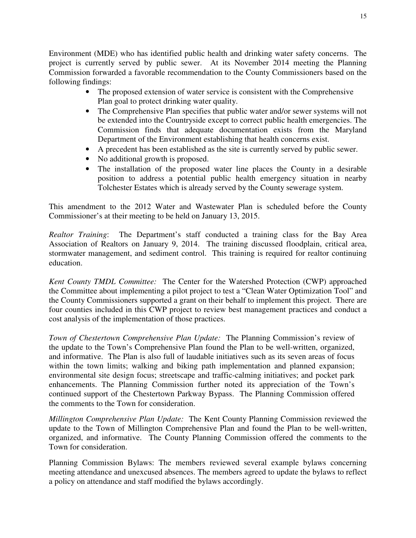Environment (MDE) who has identified public health and drinking water safety concerns. The project is currently served by public sewer. At its November 2014 meeting the Planning Commission forwarded a favorable recommendation to the County Commissioners based on the following findings:

- The proposed extension of water service is consistent with the Comprehensive Plan goal to protect drinking water quality.
- The Comprehensive Plan specifies that public water and/or sewer systems will not be extended into the Countryside except to correct public health emergencies. The Commission finds that adequate documentation exists from the Maryland Department of the Environment establishing that health concerns exist.
- A precedent has been established as the site is currently served by public sewer.
- No additional growth is proposed.
- The installation of the proposed water line places the County in a desirable position to address a potential public health emergency situation in nearby Tolchester Estates which is already served by the County sewerage system.

This amendment to the 2012 Water and Wastewater Plan is scheduled before the County Commissioner's at their meeting to be held on January 13, 2015.

*Realtor Training*: The Department's staff conducted a training class for the Bay Area Association of Realtors on January 9, 2014. The training discussed floodplain, critical area, stormwater management, and sediment control. This training is required for realtor continuing education.

*Kent County TMDL Committee:* The Center for the Watershed Protection (CWP) approached the Committee about implementing a pilot project to test a "Clean Water Optimization Tool" and the County Commissioners supported a grant on their behalf to implement this project. There are four counties included in this CWP project to review best management practices and conduct a cost analysis of the implementation of those practices.

*Town of Chestertown Comprehensive Plan Update:* The Planning Commission's review of the update to the Town's Comprehensive Plan found the Plan to be well-written, organized, and informative. The Plan is also full of laudable initiatives such as its seven areas of focus within the town limits; walking and biking path implementation and planned expansion; environmental site design focus; streetscape and traffic-calming initiatives; and pocket park enhancements. The Planning Commission further noted its appreciation of the Town's continued support of the Chestertown Parkway Bypass. The Planning Commission offered the comments to the Town for consideration.

*Millington Comprehensive Plan Update:* The Kent County Planning Commission reviewed the update to the Town of Millington Comprehensive Plan and found the Plan to be well-written, organized, and informative. The County Planning Commission offered the comments to the Town for consideration.

Planning Commission Bylaws: The members reviewed several example bylaws concerning meeting attendance and unexcused absences. The members agreed to update the bylaws to reflect a policy on attendance and staff modified the bylaws accordingly.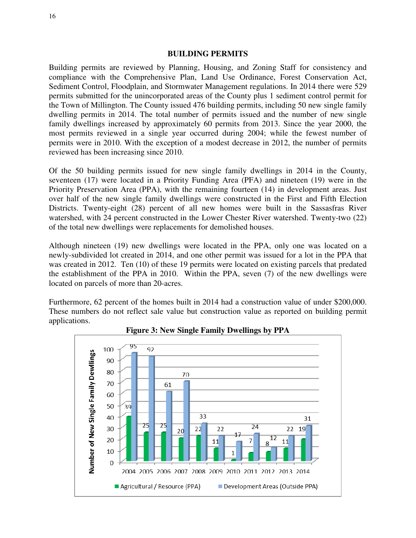#### **BUILDING PERMITS**

Building permits are reviewed by Planning, Housing, and Zoning Staff for consistency and compliance with the Comprehensive Plan, Land Use Ordinance, Forest Conservation Act, Sediment Control, Floodplain, and Stormwater Management regulations. In 2014 there were 529 permits submitted for the unincorporated areas of the County plus 1 sediment control permit for the Town of Millington. The County issued 476 building permits, including 50 new single family dwelling permits in 2014. The total number of permits issued and the number of new single family dwellings increased by approximately 60 permits from 2013. Since the year 2000, the most permits reviewed in a single year occurred during 2004; while the fewest number of permits were in 2010. With the exception of a modest decrease in 2012, the number of permits reviewed has been increasing since 2010.

Of the 50 building permits issued for new single family dwellings in 2014 in the County, seventeen (17) were located in a Priority Funding Area (PFA) and nineteen (19) were in the Priority Preservation Area (PPA), with the remaining fourteen (14) in development areas. Just over half of the new single family dwellings were constructed in the First and Fifth Election Districts. Twenty-eight (28) percent of all new homes were built in the Sassasfras River watershed, with 24 percent constructed in the Lower Chester River watershed. Twenty-two (22) of the total new dwellings were replacements for demolished houses.

Although nineteen (19) new dwellings were located in the PPA, only one was located on a newly-subdivided lot created in 2014, and one other permit was issued for a lot in the PPA that was created in 2012. Ten (10) of these 19 permits were located on existing parcels that predated the establishment of the PPA in 2010. Within the PPA, seven (7) of the new dwellings were located on parcels of more than 20-acres.

Furthermore, 62 percent of the homes built in 2014 had a construction value of under \$200,000. These numbers do not reflect sale value but construction value as reported on building permit applications.



**Figure 3: New Single Family Dwellings by PPA**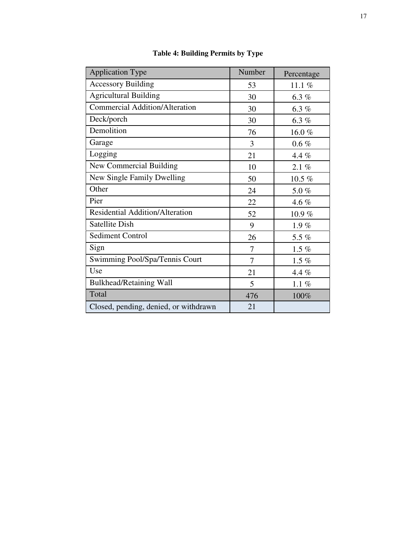| <b>Application Type</b>                | Number | Percentage |
|----------------------------------------|--------|------------|
| <b>Accessory Building</b>              | 53     | 11.1 $%$   |
| <b>Agricultural Building</b>           | 30     | 6.3 $%$    |
| <b>Commercial Addition/Alteration</b>  | 30     | 6.3%       |
| Deck/porch                             | 30     | 6.3%       |
| Demolition                             | 76     | 16.0%      |
| Garage                                 | 3      | $0.6\%$    |
| Logging                                | 21     | 4.4%       |
| New Commercial Building                | 10     | 2.1%       |
| New Single Family Dwelling             | 50     | 10.5 $%$   |
| Other                                  | 24     | 5.0%       |
| Pier                                   | 22     | 4.6 $%$    |
| <b>Residential Addition/Alteration</b> | 52     | 10.9%      |
| <b>Satellite Dish</b>                  | 9      | 1.9%       |
| <b>Sediment Control</b>                | 26     | 5.5 %      |
| Sign                                   | 7      | $1.5\%$    |
| Swimming Pool/Spa/Tennis Court         | 7      | $1.5\%$    |
| Use                                    | 21     | 4.4 %      |
| Bulkhead/Retaining Wall                | 5      | 1.1 $%$    |
| Total                                  | 476    | 100%       |
| Closed, pending, denied, or withdrawn  | 21     |            |

**Table 4: Building Permits by Type**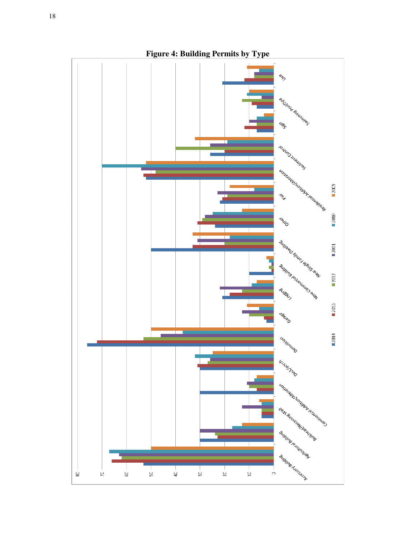

**Figure 4: Building Permits by Type**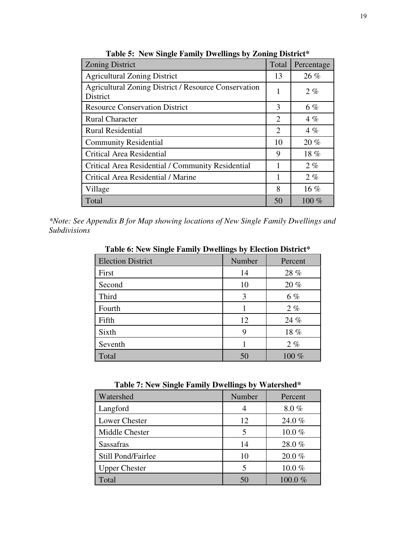| <b>Zoning District</b>                                                         | Total                       | Percentage |
|--------------------------------------------------------------------------------|-----------------------------|------------|
| <b>Agricultural Zoning District</b>                                            | 13                          | 26%        |
| <b>Agricultural Zoning District / Resource Conservation</b><br><b>District</b> | 1                           | $2\%$      |
| <b>Resource Conservation District</b>                                          | 3                           | $6\%$      |
| <b>Rural Character</b>                                                         | $\mathcal{D}_{\cdot}$       | $4\%$      |
| <b>Rural Residential</b>                                                       | $\mathcal{D}_{\mathcal{L}}$ | $4\%$      |
| <b>Community Residential</b>                                                   | 10                          | 20%        |
| Critical Area Residential                                                      | 9                           | 18%        |
| Critical Area Residential / Community Residential                              | 1                           | 2%         |
| Critical Area Residential / Marine                                             | 1                           | 2%         |
| Village                                                                        | 8                           | $16\%$     |
| Total                                                                          | 50                          | $100\%$    |

**Table 5: New Single Family Dwellings by Zoning District\*** 

*\*Note: See Appendix B for Map showing locations of New Single Family Dwellings and Subdivisions* 

**Table 6: New Single Family Dwellings by Election District\*** 

| o                        | $\mathbf{C}$ $\mathbf{C}$ |         |
|--------------------------|---------------------------|---------|
| <b>Election District</b> | Number                    | Percent |
| First                    | 14                        | 28 %    |
| Second                   | 10                        | 20%     |
| Third                    | 3                         | 6 %     |
| Fourth                   |                           | $2\%$   |
| Fifth                    | 12                        | 24 %    |
| Sixth                    | 9                         | 18%     |
| Seventh                  |                           | $2\%$   |
| Total                    | 50                        | 100 %   |

**Table 7: New Single Family Dwellings by Watershed\***

| Watershed            | Number | Percent   |
|----------------------|--------|-----------|
| Langford             |        | 8.0%      |
| <b>Lower Chester</b> | 12     | 24.0%     |
| Middle Chester       |        | 10.0 $%$  |
| <b>Sassafras</b>     | 14     | 28.0%     |
| Still Pond/Fairlee   | 10     | $20.0 \%$ |
| <b>Upper Chester</b> |        | 10.0%     |
| Total                |        | 100.0%    |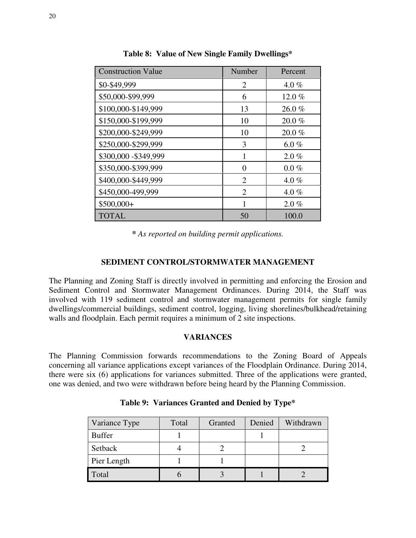| <b>Construction Value</b> | Number         | Percent  |
|---------------------------|----------------|----------|
| \$0-\$49,999              | 2              | 4.0 $%$  |
| \$50,000-\$99,999         | 6              | 12.0%    |
| \$100,000-\$149,999       | 13             | 26.0%    |
| \$150,000-\$199,999       | 10             | 20.0%    |
| \$200,000-\$249,999       | 10             | 20.0%    |
| \$250,000-\$299,999       | 3              | 6.0 $%$  |
| \$300,000 - \$349,999     |                | $2.0 \%$ |
| \$350,000-\$399,999       | 0              | $0.0 \%$ |
| \$400,000-\$449,999       | $\mathfrak{D}$ | 4.0 $%$  |
| \$450,000-499,999         | $\mathfrak{D}$ | 4.0 $%$  |
| \$500,000+                | 1              | $2.0 \%$ |
| <b>TOTAL</b>              | 50             | 100.0    |

**Table 8: Value of New Single Family Dwellings\*** 

*\* As reported on building permit applications.* 

# **SEDIMENT CONTROL/STORMWATER MANAGEMENT**

The Planning and Zoning Staff is directly involved in permitting and enforcing the Erosion and Sediment Control and Stormwater Management Ordinances. During 2014, the Staff was involved with 119 sediment control and stormwater management permits for single family dwellings/commercial buildings, sediment control, logging, living shorelines/bulkhead/retaining walls and floodplain. Each permit requires a minimum of 2 site inspections.

### **VARIANCES**

The Planning Commission forwards recommendations to the Zoning Board of Appeals concerning all variance applications except variances of the Floodplain Ordinance. During 2014, there were six (6) applications for variances submitted. Three of the applications were granted, one was denied, and two were withdrawn before being heard by the Planning Commission.

| Variance Type | Total | Granted | Denied | Withdrawn |
|---------------|-------|---------|--------|-----------|
| <b>Buffer</b> |       |         |        |           |
| Setback       |       |         |        |           |
| Pier Length   |       |         |        |           |
| Total         |       |         |        |           |

**Table 9: Variances Granted and Denied by Type\***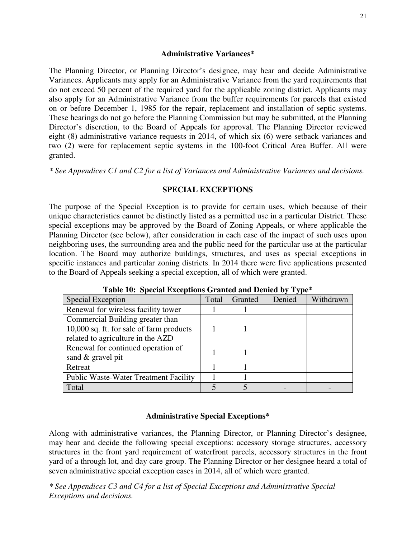## **Administrative Variances\***

The Planning Director, or Planning Director's designee, may hear and decide Administrative Variances. Applicants may apply for an Administrative Variance from the yard requirements that do not exceed 50 percent of the required yard for the applicable zoning district. Applicants may also apply for an Administrative Variance from the buffer requirements for parcels that existed on or before December 1, 1985 for the repair, replacement and installation of septic systems. These hearings do not go before the Planning Commission but may be submitted, at the Planning Director's discretion, to the Board of Appeals for approval. The Planning Director reviewed eight (8) administrative variance requests in 2014, of which six (6) were setback variances and two (2) were for replacement septic systems in the 100-foot Critical Area Buffer. All were granted.

*\* See Appendices C1 and C2 for a list of Variances and Administrative Variances and decisions.* 

# **SPECIAL EXCEPTIONS**

The purpose of the Special Exception is to provide for certain uses, which because of their unique characteristics cannot be distinctly listed as a permitted use in a particular District. These special exceptions may be approved by the Board of Zoning Appeals, or where applicable the Planning Director (see below), after consideration in each case of the impact of such uses upon neighboring uses, the surrounding area and the public need for the particular use at the particular location. The Board may authorize buildings, structures, and uses as special exceptions in specific instances and particular zoning districts. In 2014 there were five applications presented to the Board of Appeals seeking a special exception, all of which were granted.

| <b>Special Exception</b>                     | Total | Granted | Denied | Withdrawn |
|----------------------------------------------|-------|---------|--------|-----------|
| Renewal for wireless facility tower          |       |         |        |           |
| Commercial Building greater than             |       |         |        |           |
| 10,000 sq. ft. for sale of farm products     |       |         |        |           |
| related to agriculture in the AZD            |       |         |        |           |
| Renewal for continued operation of           |       |         |        |           |
| sand & gravel pit                            |       |         |        |           |
| Retreat                                      |       |         |        |           |
| <b>Public Waste-Water Treatment Facility</b> |       |         |        |           |
| Total                                        |       |         |        |           |

**Table 10: Special Exceptions Granted and Denied by Type\*** 

# **Administrative Special Exceptions\***

Along with administrative variances, the Planning Director, or Planning Director's designee, may hear and decide the following special exceptions: accessory storage structures, accessory structures in the front yard requirement of waterfront parcels, accessory structures in the front yard of a through lot, and day care group. The Planning Director or her designee heard a total of seven administrative special exception cases in 2014, all of which were granted.

*\* See Appendices C3 and C4 for a list of Special Exceptions and Administrative Special Exceptions and decisions.*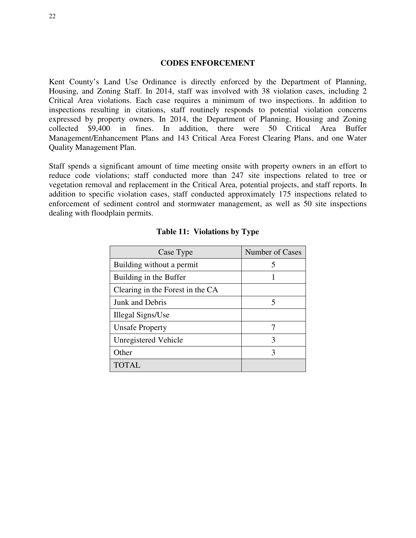#### **CODES ENFORCEMENT**

Kent County's Land Use Ordinance is directly enforced by the Department of Planning, Housing, and Zoning Staff. In 2014, staff was involved with 38 violation cases, including 2 Critical Area violations. Each case requires a minimum of two inspections. In addition to inspections resulting in citations, staff routinely responds to potential violation concerns expressed by property owners. In 2014, the Department of Planning, Housing and Zoning collected \$9,400 in fines. In addition, there were 50 Critical Area Buffer Management/Enhancement Plans and 143 Critical Area Forest Clearing Plans, and one Water Quality Management Plan.

Staff spends a significant amount of time meeting onsite with property owners in an effort to reduce code violations; staff conducted more than 247 site inspections related to tree or vegetation removal and replacement in the Critical Area, potential projects, and staff reports. In addition to specific violation cases, staff conducted approximately 175 inspections related to enforcement of sediment control and stormwater management, as well as 50 site inspections dealing with floodplain permits.

| Case Type                        | Number of Cases |
|----------------------------------|-----------------|
| Building without a permit        | 5               |
| Building in the Buffer           |                 |
| Clearing in the Forest in the CA |                 |
| Junk and Debris                  | 5               |
| Illegal Signs/Use                |                 |
| <b>Unsafe Property</b>           | 7               |
| Unregistered Vehicle             | 3               |
| Other                            | 3               |
| <b>TOTAL</b>                     |                 |

#### **Table 11: Violations by Type**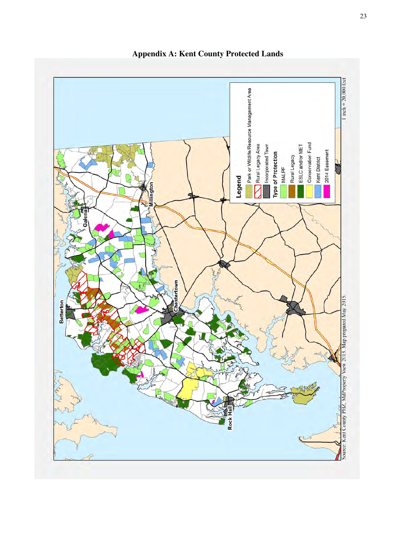

**Appendix A: Kent County Protected Lands**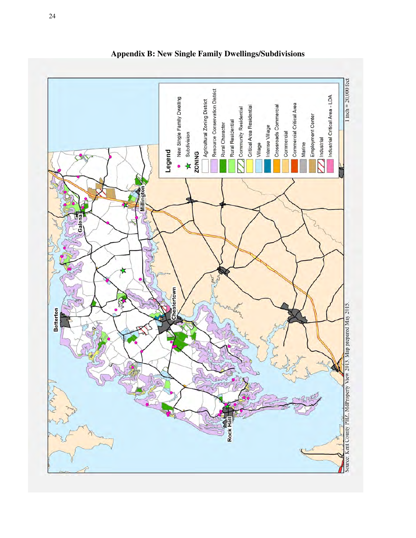

**Appendix B: New Single Family Dwellings/Subdivisions**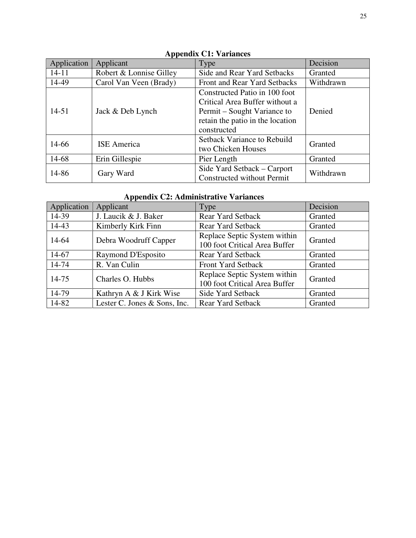| Application | Applicant               | Type                                                                                                                                              | Decision  |
|-------------|-------------------------|---------------------------------------------------------------------------------------------------------------------------------------------------|-----------|
| $14 - 11$   | Robert & Lonnise Gilley | Side and Rear Yard Setbacks                                                                                                                       | Granted   |
| 14-49       | Carol Van Veen (Brady)  | Front and Rear Yard Setbacks                                                                                                                      | Withdrawn |
| $14 - 51$   | Jack & Deb Lynch        | Constructed Patio in 100 foot<br>Critical Area Buffer without a<br>Permit – Sought Variance to<br>retain the patio in the location<br>constructed | Denied    |
| 14-66       | <b>ISE</b> America      | <b>Setback Variance to Rebuild</b><br>two Chicken Houses                                                                                          | Granted   |
| 14-68       | Erin Gillespie          | Pier Length                                                                                                                                       | Granted   |
| 14-86       | Gary Ward               | Side Yard Setback – Carport<br><b>Constructed without Permit</b>                                                                                  | Withdrawn |

# **Appendix C1: Variances**

# **Appendix C2: Administrative Variances**

| Application | Applicant                    | Type                                                          | Decision |
|-------------|------------------------------|---------------------------------------------------------------|----------|
| 14-39       | J. Laucik & J. Baker         | <b>Rear Yard Setback</b>                                      | Granted  |
| 14-43       | Kimberly Kirk Finn           | <b>Rear Yard Setback</b>                                      | Granted  |
| 14-64       | Debra Woodruff Capper        | Replace Septic System within<br>100 foot Critical Area Buffer | Granted  |
| 14-67       | Raymond D'Esposito           | <b>Rear Yard Setback</b>                                      | Granted  |
| 14-74       | R. Van Culin                 | <b>Front Yard Setback</b>                                     | Granted  |
| 14-75       | Charles O. Hubbs             | Replace Septic System within<br>100 foot Critical Area Buffer | Granted  |
| 14-79       | Kathryn A & J Kirk Wise      | Side Yard Setback                                             | Granted  |
| 14-82       | Lester C. Jones & Sons, Inc. | <b>Rear Yard Setback</b>                                      | Granted  |